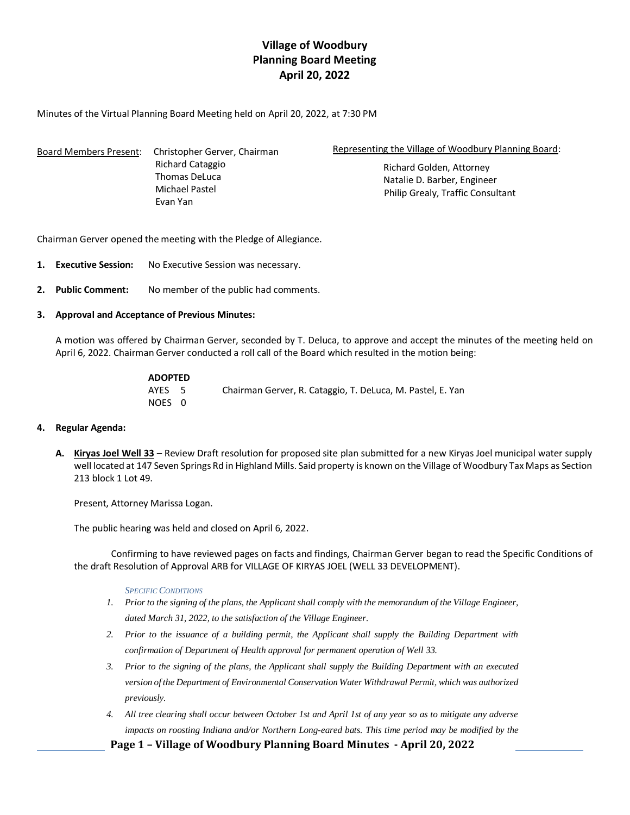# **Village of Woodbury Planning Board Meeting April 20, 2022**

Minutes of the Virtual Planning Board Meeting held on April 20, 2022, at 7:30 PM

| <b>Board Members Present:</b> | Christopher Gerver, Chairman    | Representing the Village of Woodbury Planning Board:             |
|-------------------------------|---------------------------------|------------------------------------------------------------------|
|                               | Richard Cataggio                | Richard Golden, Attorney                                         |
|                               | Thomas DeLuca<br>Michael Pastel | Natalie D. Barber, Engineer<br>Philip Grealy, Traffic Consultant |
|                               | Evan Yan                        |                                                                  |

Chairman Gerver opened the meeting with the Pledge of Allegiance.

- **1. Executive Session:** No Executive Session was necessary.
- **2. Public Comment:** No member of the public had comments.
- **3. Approval and Acceptance of Previous Minutes:**

A motion was offered by Chairman Gerver, seconded by T. Deluca, to approve and accept the minutes of the meeting held on April 6, 2022. Chairman Gerver conducted a roll call of the Board which resulted in the motion being:

| <b>ADOPTED</b> |                                                            |
|----------------|------------------------------------------------------------|
| AYES 5         | Chairman Gerver, R. Cataggio, T. DeLuca, M. Pastel, E. Yan |
| NOES 0         |                                                            |

- **4. Regular Agenda:**
	- **A. Kiryas Joel Well 33** Review Draft resolution for proposed site plan submitted for a new Kiryas Joel municipal water supply well located at 147 Seven Springs Rd in Highland Mills. Said property is known on the Village of Woodbury Tax Maps as Section 213 block 1 Lot 49.

Present, Attorney Marissa Logan.

The public hearing was held and closed on April 6, 2022.

Confirming to have reviewed pages on facts and findings, Chairman Gerver began to read the Specific Conditions of the draft Resolution of Approval ARB for VILLAGE OF KIRYAS JOEL (WELL 33 DEVELOPMENT).

### *SPECIFIC CONDITIONS*

- *1. Prior to the signing of the plans, the Applicant shall comply with the memorandum of the Village Engineer, dated March 31, 2022, to the satisfaction of the Village Engineer.*
- *2. Prior to the issuance of a building permit, the Applicant shall supply the Building Department with confirmation of Department of Health approval for permanent operation of Well 33.*
- *3. Prior to the signing of the plans, the Applicant shall supply the Building Department with an executed version of the Department of Environmental Conservation Water Withdrawal Permit, which was authorized previously.*
- *4. All tree clearing shall occur between October 1st and April 1st of any year so as to mitigate any adverse impacts on roosting Indiana and/or Northern Long-eared bats. This time period may be modified by the*

**Page 1 – Village of Woodbury Planning Board Minutes - April 20, 2022**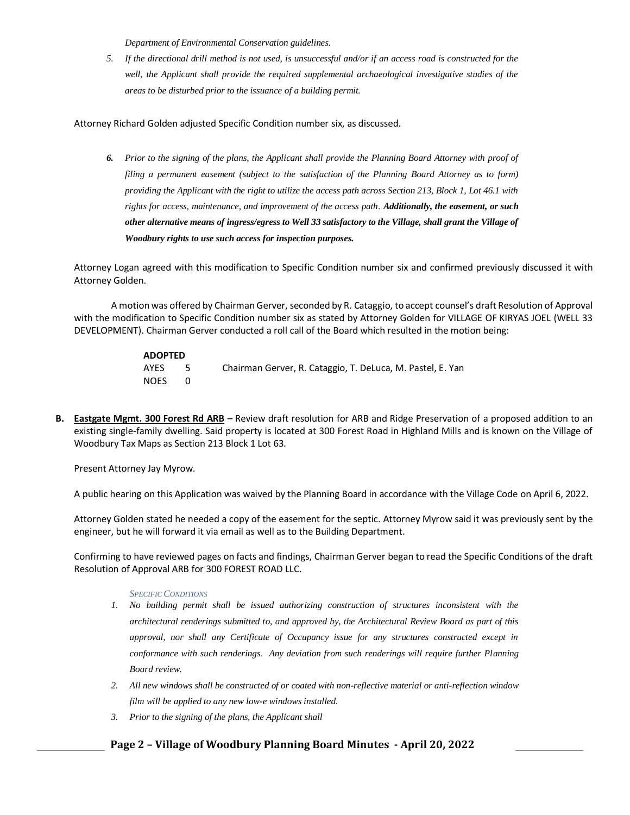*Department of Environmental Conservation guidelines.*

*5. If the directional drill method is not used, is unsuccessful and/or if an access road is constructed for the well, the Applicant shall provide the required supplemental archaeological investigative studies of the areas to be disturbed prior to the issuance of a building permit.* 

Attorney Richard Golden adjusted Specific Condition number six, as discussed.

*6. Prior to the signing of the plans, the Applicant shall provide the Planning Board Attorney with proof of filing a permanent easement (subject to the satisfaction of the Planning Board Attorney as to form) providing the Applicant with the right to utilize the access path across Section 213, Block 1, Lot 46.1 with rights for access, maintenance, and improvement of the access path. Additionally, the easement, or such other alternative means of ingress/egress to Well 33 satisfactory to the Village, shall grant the Village of Woodbury rights to use such access for inspection purposes.*

Attorney Logan agreed with this modification to Specific Condition number six and confirmed previously discussed it with Attorney Golden.

A motion was offered by Chairman Gerver, seconded by R. Cataggio, to accept counsel's draft Resolution of Approval with the modification to Specific Condition number six as stated by Attorney Golden for VILLAGE OF KIRYAS JOEL (WELL 33 DEVELOPMENT). Chairman Gerver conducted a roll call of the Board which resulted in the motion being:

| <b>ADOPTED</b> |     |                                                            |
|----------------|-----|------------------------------------------------------------|
| AYES           | - 5 | Chairman Gerver, R. Cataggio, T. DeLuca, M. Pastel, E. Yan |
| <b>NOES</b>    |     |                                                            |

**B. Eastgate Mgmt. 300 Forest Rd ARB** – Review draft resolution for ARB and Ridge Preservation of a proposed addition to an existing single-family dwelling. Said property is located at 300 Forest Road in Highland Mills and is known on the Village of Woodbury Tax Maps as Section 213 Block 1 Lot 63.

Present Attorney Jay Myrow.

A public hearing on this Application was waived by the Planning Board in accordance with the Village Code on April 6, 2022.

Attorney Golden stated he needed a copy of the easement for the septic. Attorney Myrow said it was previously sent by the engineer, but he will forward it via email as well as to the Building Department.

Confirming to have reviewed pages on facts and findings, Chairman Gerver began to read the Specific Conditions of the draft Resolution of Approval ARB for 300 FOREST ROAD LLC.

### *SPECIFIC CONDITIONS*

- *1. No building permit shall be issued authorizing construction of structures inconsistent with the architectural renderings submitted to, and approved by, the Architectural Review Board as part of this approval, nor shall any Certificate of Occupancy issue for any structures constructed except in conformance with such renderings. Any deviation from such renderings will require further Planning Board review.*
- *2. All new windows shall be constructed of or coated with non-reflective material or anti-reflection window film will be applied to any new low-e windows installed.*
- *3. Prior to the signing of the plans, the Applicant shall*

## **Page 2 – Village of Woodbury Planning Board Minutes - April 20, 2022**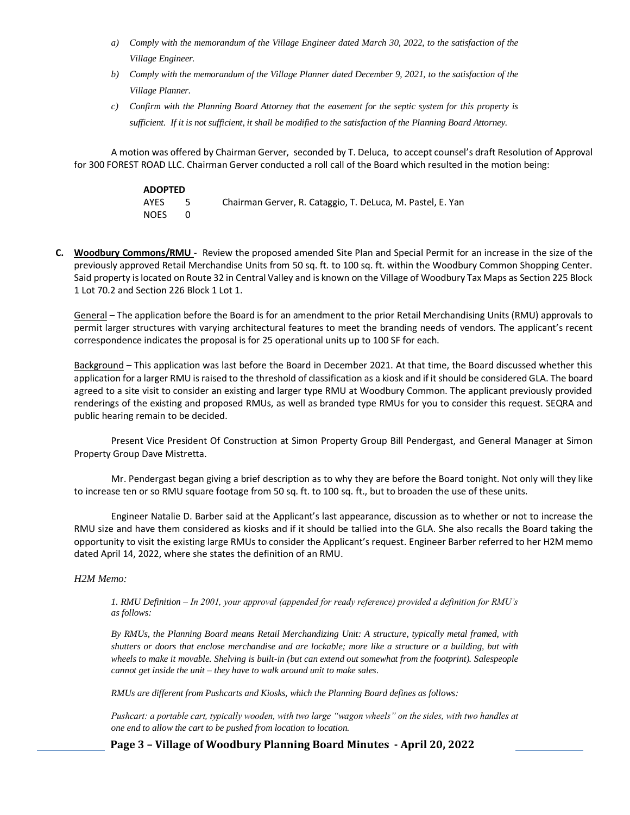- *a) Comply with the memorandum of the Village Engineer dated March 30, 2022, to the satisfaction of the Village Engineer.*
- *b) Comply with the memorandum of the Village Planner dated December 9, 2021, to the satisfaction of the Village Planner.*
- *c) Confirm with the Planning Board Attorney that the easement for the septic system for this property is sufficient. If it is not sufficient, it shall be modified to the satisfaction of the Planning Board Attorney.*

A motion was offered by Chairman Gerver, seconded by T. Deluca, to accept counsel's draft Resolution of Approval for 300 FOREST ROAD LLC. Chairman Gerver conducted a roll call of the Board which resulted in the motion being:

| <b>ADOPTED</b> |     |                                                            |
|----------------|-----|------------------------------------------------------------|
| AYES           | -5. | Chairman Gerver, R. Cataggio, T. DeLuca, M. Pastel, E. Yan |
| <b>NOES</b>    |     |                                                            |

**C. Woodbury Commons/RMU** - Review the proposed amended Site Plan and Special Permit for an increase in the size of the previously approved Retail Merchandise Units from 50 sq. ft. to 100 sq. ft. within the Woodbury Common Shopping Center. Said property islocated on Route 32 in Central Valley and is known on the Village of Woodbury Tax Maps as Section 225 Block 1 Lot 70.2 and Section 226 Block 1 Lot 1.

General – The application before the Board is for an amendment to the prior Retail Merchandising Units (RMU) approvals to permit larger structures with varying architectural features to meet the branding needs of vendors. The applicant's recent correspondence indicates the proposal is for 25 operational units up to 100 SF for each.

Background – This application was last before the Board in December 2021. At that time, the Board discussed whether this application for a larger RMU is raised to the threshold of classification as a kiosk and if it should be considered GLA. The board agreed to a site visit to consider an existing and larger type RMU at Woodbury Common. The applicant previously provided renderings of the existing and proposed RMUs, as well as branded type RMUs for you to consider this request. SEQRA and public hearing remain to be decided.

Present Vice President Of Construction at Simon Property Group Bill Pendergast, and General Manager at Simon Property Group Dave Mistretta.

Mr. Pendergast began giving a brief description as to why they are before the Board tonight. Not only will they like to increase ten or so RMU square footage from 50 sq. ft. to 100 sq. ft., but to broaden the use of these units.

Engineer Natalie D. Barber said at the Applicant's last appearance, discussion as to whether or not to increase the RMU size and have them considered as kiosks and if it should be tallied into the GLA. She also recalls the Board taking the opportunity to visit the existing large RMUs to consider the Applicant's request. Engineer Barber referred to her H2M memo dated April 14, 2022, where she states the definition of an RMU.

## *H2M Memo:*

*1. RMU Definition – In 2001, your approval (appended for ready reference) provided a definition for RMU's as follows:* 

*By RMUs, the Planning Board means Retail Merchandizing Unit: A structure, typically metal framed, with shutters or doors that enclose merchandise and are lockable; more like a structure or a building, but with wheels to make it movable. Shelving is built-in (but can extend out somewhat from the footprint). Salespeople cannot get inside the unit – they have to walk around unit to make sales.* 

*RMUs are different from Pushcarts and Kiosks, which the Planning Board defines as follows:* 

*Pushcart: a portable cart, typically wooden, with two large "wagon wheels" on the sides, with two handles at one end to allow the cart to be pushed from location to location.* 

**Page 3 – Village of Woodbury Planning Board Minutes - April 20, 2022**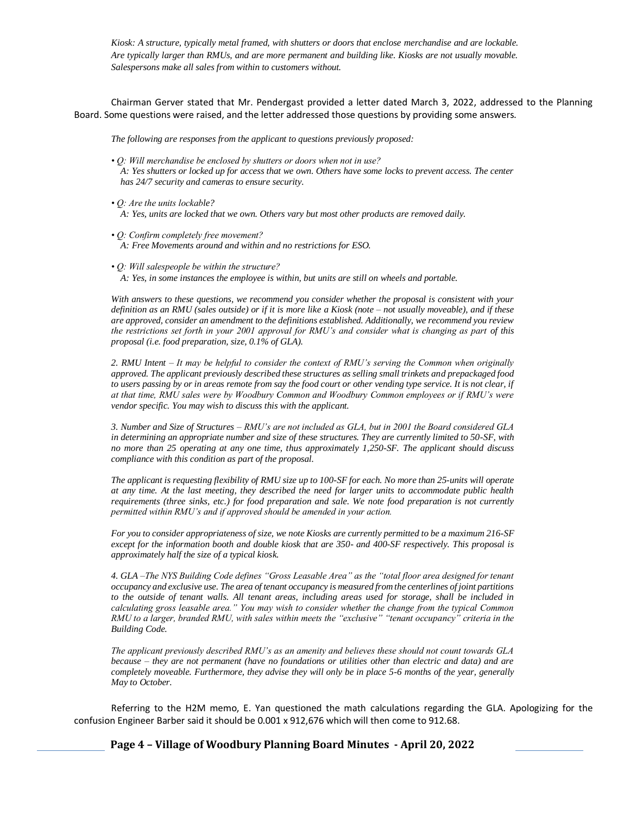*Kiosk: A structure, typically metal framed, with shutters or doors that enclose merchandise and are lockable. Are typically larger than RMUs, and are more permanent and building like. Kiosks are not usually movable. Salespersons make all sales from within to customers without.*

Chairman Gerver stated that Mr. Pendergast provided a letter dated March 3, 2022, addressed to the Planning Board. Some questions were raised, and the letter addressed those questions by providing some answers.

*The following are responses from the applicant to questions previously proposed:* 

- *Q: Will merchandise be enclosed by shutters or doors when not in use? A: Yes shutters or locked up for access that we own. Others have some locks to prevent access. The center has 24/7 security and cameras to ensure security.*
- *Q: Are the units lockable? A: Yes, units are locked that we own. Others vary but most other products are removed daily.*
- *Q: Confirm completely free movement? A: Free Movements around and within and no restrictions for ESO.*
- *Q: Will salespeople be within the structure? A: Yes, in some instances the employee is within, but units are still on wheels and portable.*

*With answers to these questions, we recommend you consider whether the proposal is consistent with your definition as an RMU (sales outside) or if it is more like a Kiosk (note – not usually moveable), and if these are approved, consider an amendment to the definitions established. Additionally, we recommend you review the restrictions set forth in your 2001 approval for RMU's and consider what is changing as part of this proposal (i.e. food preparation, size, 0.1% of GLA).* 

*2. RMU Intent – It may be helpful to consider the context of RMU's serving the Common when originally approved. The applicant previously described these structures as selling small trinkets and prepackaged food*  to users passing by or in areas remote from say the food court or other vending type service. It is not clear, if *at that time, RMU sales were by Woodbury Common and Woodbury Common employees or if RMU's were vendor specific. You may wish to discuss this with the applicant.*

*3. Number and Size of Structures – RMU's are not included as GLA, but in 2001 the Board considered GLA in determining an appropriate number and size of these structures. They are currently limited to 50-SF, with no more than 25 operating at any one time, thus approximately 1,250-SF. The applicant should discuss compliance with this condition as part of the proposal.* 

*The applicant is requesting flexibility of RMU size up to 100-SF for each. No more than 25-units will operate at any time. At the last meeting, they described the need for larger units to accommodate public health requirements (three sinks, etc.) for food preparation and sale. We note food preparation is not currently permitted within RMU's and if approved should be amended in your action.* 

*For you to consider appropriateness of size, we note Kiosks are currently permitted to be a maximum 216-SF except for the information booth and double kiosk that are 350- and 400-SF respectively. This proposal is approximately half the size of a typical kiosk.* 

*4. GLA –The NYS Building Code defines "Gross Leasable Area" as the "total floor area designed for tenant occupancy and exclusive use. The area of tenant occupancy is measured from the centerlines of joint partitions to the outside of tenant walls. All tenant areas, including areas used for storage, shall be included in calculating gross leasable area." You may wish to consider whether the change from the typical Common RMU to a larger, branded RMU, with sales within meets the "exclusive" "tenant occupancy" criteria in the Building Code.* 

*The applicant previously described RMU's as an amenity and believes these should not count towards GLA because – they are not permanent (have no foundations or utilities other than electric and data) and are completely moveable. Furthermore, they advise they will only be in place 5-6 months of the year, generally May to October.*

Referring to the H2M memo, E. Yan questioned the math calculations regarding the GLA. Apologizing for the confusion Engineer Barber said it should be 0.001 x 912,676 which will then come to 912.68.

**Page 4 – Village of Woodbury Planning Board Minutes - April 20, 2022**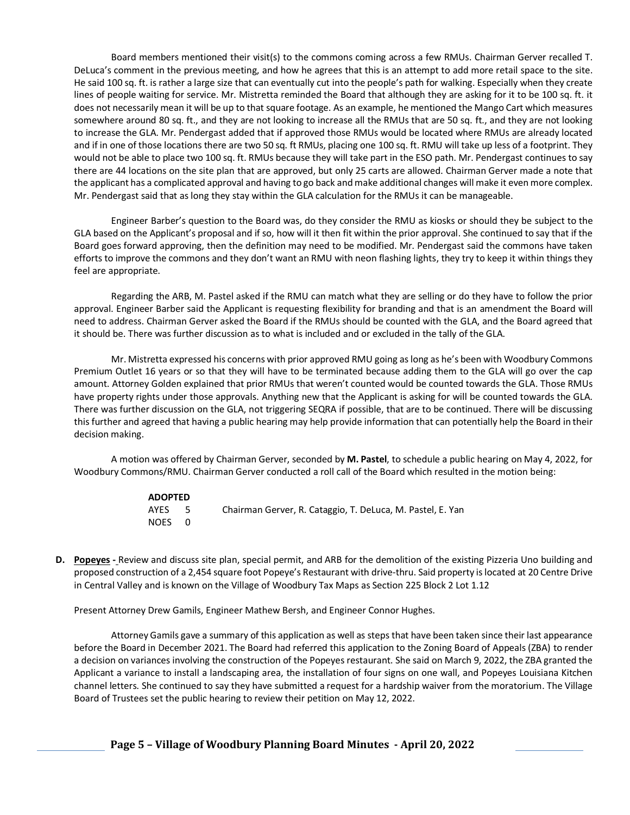Board members mentioned their visit(s) to the commons coming across a few RMUs. Chairman Gerver recalled T. DeLuca's comment in the previous meeting, and how he agrees that this is an attempt to add more retail space to the site. He said 100 sq. ft. is rather a large size that can eventually cut into the people's path for walking. Especially when they create lines of people waiting for service. Mr. Mistretta reminded the Board that although they are asking for it to be 100 sq. ft. it does not necessarily mean it will be up to that square footage. As an example, he mentioned the Mango Cart which measures somewhere around 80 sq. ft., and they are not looking to increase all the RMUs that are 50 sq. ft., and they are not looking to increase the GLA. Mr. Pendergast added that if approved those RMUs would be located where RMUs are already located and if in one of those locations there are two 50 sq. ft RMUs, placing one 100 sq. ft. RMU will take up less of a footprint. They would not be able to place two 100 sq. ft. RMUs because they will take part in the ESO path. Mr. Pendergast continues to say there are 44 locations on the site plan that are approved, but only 25 carts are allowed. Chairman Gerver made a note that the applicant has a complicated approval and having to go back and make additional changes will make it even more complex. Mr. Pendergast said that as long they stay within the GLA calculation for the RMUs it can be manageable.

Engineer Barber's question to the Board was, do they consider the RMU as kiosks or should they be subject to the GLA based on the Applicant's proposal and if so, how will it then fit within the prior approval. She continued to say that if the Board goes forward approving, then the definition may need to be modified. Mr. Pendergast said the commons have taken efforts to improve the commons and they don't want an RMU with neon flashing lights, they try to keep it within things they feel are appropriate.

Regarding the ARB, M. Pastel asked if the RMU can match what they are selling or do they have to follow the prior approval. Engineer Barber said the Applicant is requesting flexibility for branding and that is an amendment the Board will need to address. Chairman Gerver asked the Board if the RMUs should be counted with the GLA, and the Board agreed that it should be. There was further discussion as to what is included and or excluded in the tally of the GLA.

Mr. Mistretta expressed his concerns with prior approved RMU going as long as he's been with Woodbury Commons Premium Outlet 16 years or so that they will have to be terminated because adding them to the GLA will go over the cap amount. Attorney Golden explained that prior RMUs that weren't counted would be counted towards the GLA. Those RMUs have property rights under those approvals. Anything new that the Applicant is asking for will be counted towards the GLA. There was further discussion on the GLA, not triggering SEQRA if possible, that are to be continued. There will be discussing this further and agreed that having a public hearing may help provide information that can potentially help the Board in their decision making.

A motion was offered by Chairman Gerver, seconded by **M. Pastel**, to schedule a public hearing on May 4, 2022, for Woodbury Commons/RMU. Chairman Gerver conducted a roll call of the Board which resulted in the motion being:

| <b>ADOPTED</b> |                                                            |
|----------------|------------------------------------------------------------|
| AYES 5         | Chairman Gerver, R. Cataggio, T. DeLuca, M. Pastel, E. Yan |
| NOES 0         |                                                            |

**D. Popeyes -** Review and discuss site plan, special permit, and ARB for the demolition of the existing Pizzeria Uno building and proposed construction of a 2,454 square foot Popeye's Restaurant with drive-thru. Said property is located at 20 Centre Drive in Central Valley and is known on the Village of Woodbury Tax Maps as Section 225 Block 2 Lot 1.12

Present Attorney Drew Gamils, Engineer Mathew Bersh, and Engineer Connor Hughes.

Attorney Gamils gave a summary of this application as well as steps that have been taken since their last appearance before the Board in December 2021. The Board had referred this application to the Zoning Board of Appeals (ZBA) to render a decision on variances involving the construction of the Popeyes restaurant. She said on March 9, 2022, the ZBA granted the Applicant a variance to install a landscaping area, the installation of four signs on one wall, and Popeyes Louisiana Kitchen channel letters. She continued to say they have submitted a request for a hardship waiver from the moratorium. The Village Board of Trustees set the public hearing to review their petition on May 12, 2022.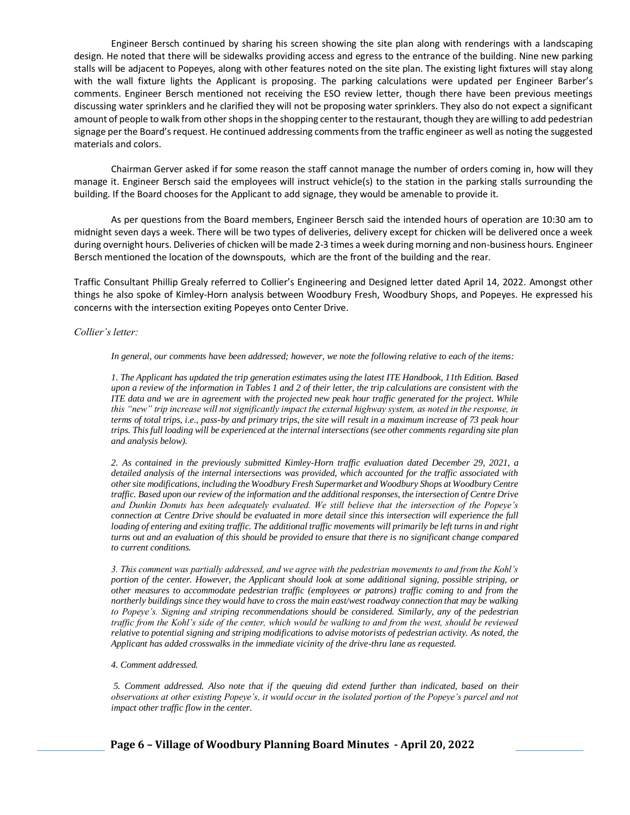Engineer Bersch continued by sharing his screen showing the site plan along with renderings with a landscaping design. He noted that there will be sidewalks providing access and egress to the entrance of the building. Nine new parking stalls will be adjacent to Popeyes, along with other features noted on the site plan. The existing light fixtures will stay along with the wall fixture lights the Applicant is proposing. The parking calculations were updated per Engineer Barber's comments. Engineer Bersch mentioned not receiving the ESO review letter, though there have been previous meetings discussing water sprinklers and he clarified they will not be proposing water sprinklers. They also do not expect a significant amount of people to walk from other shops in the shopping center to the restaurant, though they are willing to add pedestrian signage per the Board's request. He continued addressing comments from the traffic engineer as well as noting the suggested materials and colors.

Chairman Gerver asked if for some reason the staff cannot manage the number of orders coming in, how will they manage it. Engineer Bersch said the employees will instruct vehicle(s) to the station in the parking stalls surrounding the building. If the Board chooses for the Applicant to add signage, they would be amenable to provide it.

As per questions from the Board members, Engineer Bersch said the intended hours of operation are 10:30 am to midnight seven days a week. There will be two types of deliveries, delivery except for chicken will be delivered once a week during overnight hours. Deliveries of chicken will be made 2-3 times a week during morning and non-business hours. Engineer Bersch mentioned the location of the downspouts, which are the front of the building and the rear.

Traffic Consultant Phillip Grealy referred to Collier's Engineering and Designed letter dated April 14, 2022. Amongst other things he also spoke of Kimley-Horn analysis between Woodbury Fresh, Woodbury Shops, and Popeyes. He expressed his concerns with the intersection exiting Popeyes onto Center Drive.

#### *Collier's letter:*

*In general, our comments have been addressed; however, we note the following relative to each of the items:* 

*1. The Applicant has updated the trip generation estimates using the latest ITE Handbook, 11th Edition. Based upon a review of the information in Tables 1 and 2 of their letter, the trip calculations are consistent with the ITE data and we are in agreement with the projected new peak hour traffic generated for the project. While this "new" trip increase will not significantly impact the external highway system, as noted in the response, in terms of total trips, i.e., pass-by and primary trips, the site will result in a maximum increase of 73 peak hour trips. This full loading will be experienced at the internal intersections (see other comments regarding site plan and analysis below).* 

*2. As contained in the previously submitted Kimley-Horn traffic evaluation dated December 29, 2021, a detailed analysis of the internal intersections was provided, which accounted for the traffic associated with other site modifications, including the Woodbury Fresh Supermarket and Woodbury Shops at Woodbury Centre traffic. Based upon our review of the information and the additional responses, the intersection of Centre Drive and Dunkin Donuts has been adequately evaluated. We still believe that the intersection of the Popeye's connection at Centre Drive should be evaluated in more detail since this intersection will experience the full* loading of entering and exiting traffic. The additional traffic movements will primarily be left turns in and right *turns out and an evaluation of this should be provided to ensure that there is no significant change compared to current conditions.* 

*3. This comment was partially addressed, and we agree with the pedestrian movements to and from the Kohl's portion of the center. However, the Applicant should look at some additional signing, possible striping, or other measures to accommodate pedestrian traffic (employees or patrons) traffic coming to and from the northerly buildings since they would have to cross the main east/west roadway connection that may be walking to Popeye's. Signing and striping recommendations should be considered. Similarly, any of the pedestrian traffic from the Kohl's side of the center, which would be walking to and from the west, should be reviewed relative to potential signing and striping modifications to advise motorists of pedestrian activity. As noted, the Applicant has added crosswalks in the immediate vicinity of the drive-thru lane as requested.* 

#### *4. Comment addressed.*

*5. Comment addressed. Also note that if the queuing did extend further than indicated, based on their observations at other existing Popeye's, it would occur in the isolated portion of the Popeye's parcel and not impact other traffic flow in the center.*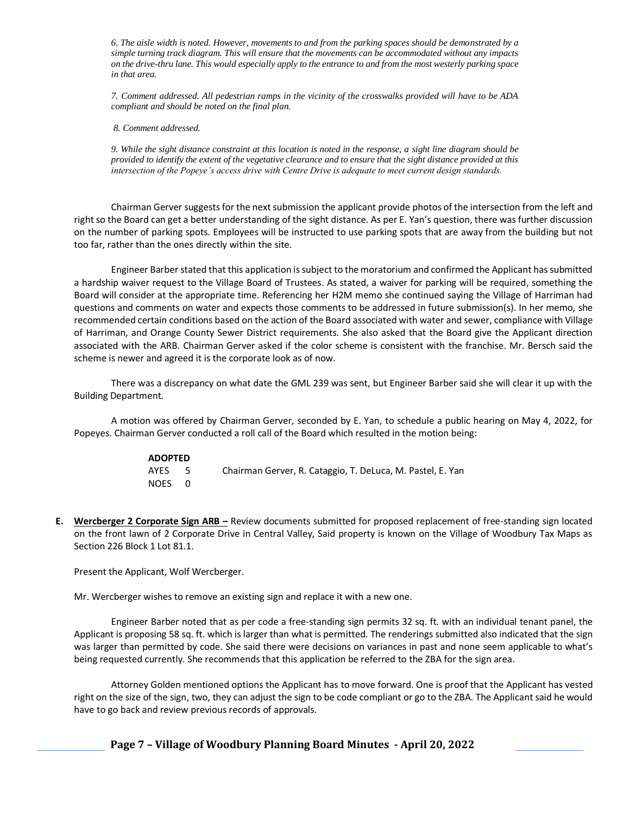*6. The aisle width is noted. However, movements to and from the parking spaces should be demonstrated by a simple turning track diagram. This will ensure that the movements can be accommodated without any impacts on the drive-thru lane. This would especially apply to the entrance to and from the most westerly parking space in that area.* 

*7. Comment addressed. All pedestrian ramps in the vicinity of the crosswalks provided will have to be ADA compliant and should be noted on the final plan.*

### *8. Comment addressed.*

*9. While the sight distance constraint at this location is noted in the response, a sight line diagram should be provided to identify the extent of the vegetative clearance and to ensure that the sight distance provided at this intersection of the Popeye's access drive with Centre Drive is adequate to meet current design standards.*

Chairman Gerver suggestsfor the next submission the applicant provide photos of the intersection from the left and right so the Board can get a better understanding of the sight distance. As per E. Yan's question, there was further discussion on the number of parking spots. Employees will be instructed to use parking spots that are away from the building but not too far, rather than the ones directly within the site.

Engineer Barber stated that this application is subject to the moratorium and confirmed the Applicant has submitted a hardship waiver request to the Village Board of Trustees. As stated, a waiver for parking will be required, something the Board will consider at the appropriate time. Referencing her H2M memo she continued saying the Village of Harriman had questions and comments on water and expects those comments to be addressed in future submission(s). In her memo, she recommended certain conditions based on the action of the Board associated with water and sewer, compliance with Village of Harriman, and Orange County Sewer District requirements. She also asked that the Board give the Applicant direction associated with the ARB. Chairman Gerver asked if the color scheme is consistent with the franchise. Mr. Bersch said the scheme is newer and agreed it is the corporate look as of now.

There was a discrepancy on what date the GML 239 was sent, but Engineer Barber said she will clear it up with the Building Department.

A motion was offered by Chairman Gerver, seconded by E. Yan, to schedule a public hearing on May 4, 2022, for Popeyes. Chairman Gerver conducted a roll call of the Board which resulted in the motion being:

| <b>ADOPTED</b> |      |                                                            |
|----------------|------|------------------------------------------------------------|
| AYES           | $-5$ | Chairman Gerver, R. Cataggio, T. DeLuca, M. Pastel, E. Yan |
| NOES 0         |      |                                                            |

**E. Wercberger 2 Corporate Sign ARB –** Review documents submitted for proposed replacement of free-standing sign located on the front lawn of 2 Corporate Drive in Central Valley, Said property is known on the Village of Woodbury Tax Maps as Section 226 Block 1 Lot 81.1.

Present the Applicant, Wolf Wercberger.

Mr. Wercberger wishes to remove an existing sign and replace it with a new one.

Engineer Barber noted that as per code a free-standing sign permits 32 sq. ft. with an individual tenant panel, the Applicant is proposing 58 sq. ft. which is larger than what is permitted. The renderings submitted also indicated that the sign was larger than permitted by code. She said there were decisions on variances in past and none seem applicable to what's being requested currently. She recommends that this application be referred to the ZBA for the sign area.

Attorney Golden mentioned options the Applicant has to move forward. One is proof that the Applicant has vested right on the size of the sign, two, they can adjust the sign to be code compliant or go to the ZBA. The Applicant said he would have to go back and review previous records of approvals.

**Page 7 – Village of Woodbury Planning Board Minutes - April 20, 2022**